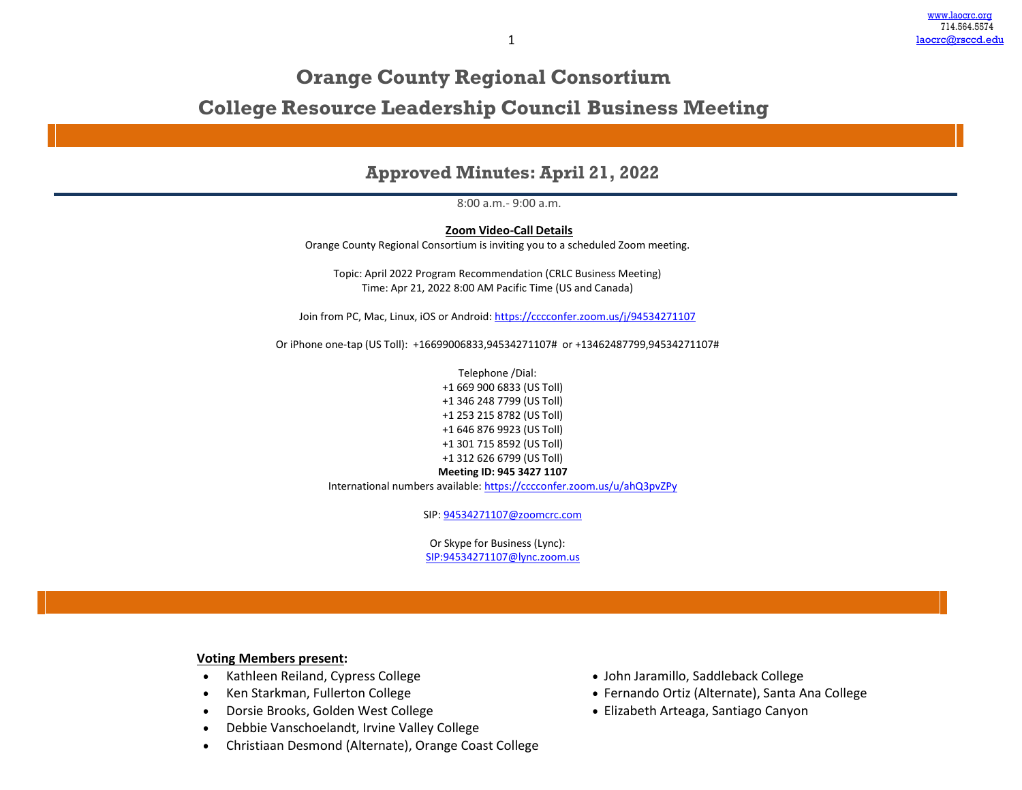# **Orange County Regional Consortium**

**College Resource Leadership Council Business Meeting**

# **Approved Minutes: April 21, 2022**

8:00 a.m.- 9:00 a.m.

**Zoom Video-Call Details** Orange County Regional Consortium is inviting you to a scheduled Zoom meeting.

Topic: April 2022 Program Recommendation (CRLC Business Meeting) Time: Apr 21, 2022 8:00 AM Pacific Time (US and Canada)

Join from PC, Mac, Linux, iOS or Android[: https://cccconfer.zoom.us/j/94534271107](https://cccconfer.zoom.us/j/94534271107)

Or iPhone one-tap (US Toll): +16699006833,94534271107# or +13462487799,94534271107#

Telephone /Dial: +1 669 900 6833 (US Toll) +1 346 248 7799 (US Toll) +1 253 215 8782 (US Toll) +1 646 876 9923 (US Toll) +1 301 715 8592 (US Toll) +1 312 626 6799 (US Toll) **Meeting ID: 945 3427 1107**

International numbers available[: https://cccconfer.zoom.us/u/ahQ3pvZPy](https://cccconfer.zoom.us/u/ahQ3pvZPy)

SIP: [94534271107@zoomcrc.com](mailto:94534271107@zoomcrc.com)

Or Skype for Business (Lync): [SIP:94534271107@lync.zoom.us](sip:94534271107@lync.zoom.us)

#### **Voting Members present:**

- Kathleen Reiland, Cypress College
- Ken Starkman, Fullerton College
- Dorsie Brooks, Golden West College
- Debbie Vanschoelandt, Irvine Valley College
- Christiaan Desmond (Alternate), Orange Coast College
- John Jaramillo, Saddleback College
- Fernando Ortiz (Alternate), Santa Ana College
- Elizabeth Arteaga, Santiago Canyon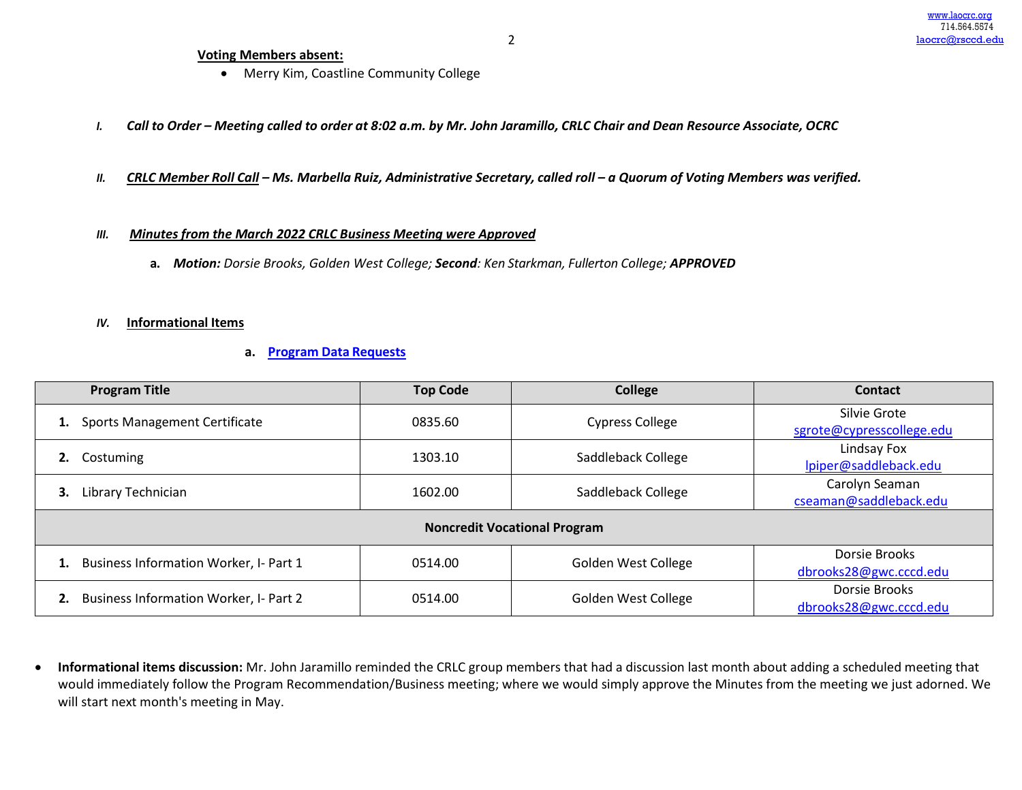### **Voting Members absent:**

- Merry Kim, Coastline Community College
- I. Call to Order Meeting called to order at 8:02 a.m. by Mr. John Jaramillo, CRLC Chair and Dean Resource Associate, OCRC
- II. CRLC Member Roll Call Ms. Marbella Ruiz, Administrative Secretary, called roll a Quorum of Voting Members was verified.

### *III. Minutes from the March 2022 CRLC Business Meeting were Approved*

**a.** *Motion: Dorsie Brooks, Golden West College; Second: Ken Starkman, Fullerton College; APPROVED*

### *IV.* **Informational Items**

**a. Program Data [Requests](http://www.laocrc.org/educators/program-approval/program-intents)**

| <b>Program Title</b>                                | <b>Top Code</b> | <b>College</b>                                             | <b>Contact</b>                            |  |  |  |  |  |
|-----------------------------------------------------|-----------------|------------------------------------------------------------|-------------------------------------------|--|--|--|--|--|
| <b>Sports Management Certificate</b><br>1.          | 0835.60         | <b>Cypress College</b>                                     | Silvie Grote<br>sgrote@cypresscollege.edu |  |  |  |  |  |
| Costuming<br>2.                                     | 1303.10         | Lindsay Fox<br>Saddleback College<br>Ipiper@saddleback.edu |                                           |  |  |  |  |  |
| Library Technician<br>3.                            | 1602.00         | Saddleback College                                         | Carolyn Seaman<br>cseaman@saddleback.edu  |  |  |  |  |  |
| <b>Noncredit Vocational Program</b>                 |                 |                                                            |                                           |  |  |  |  |  |
| Business Information Worker, I- Part 1<br>1.        | 0514.00         | Golden West College                                        | Dorsie Brooks<br>dbrooks28@gwc.cccd.edu   |  |  |  |  |  |
| 2.<br><b>Business Information Worker, I- Part 2</b> | 0514.00         | <b>Golden West College</b>                                 | Dorsie Brooks<br>dbrooks28@gwc.cccd.edu   |  |  |  |  |  |

 **Informational items discussion:** Mr. John Jaramillo reminded the CRLC group members that had a discussion last month about adding a scheduled meeting that would immediately follow the Program Recommendation/Business meeting; where we would simply approve the Minutes from the meeting we just adorned. We will start next month's meeting in May.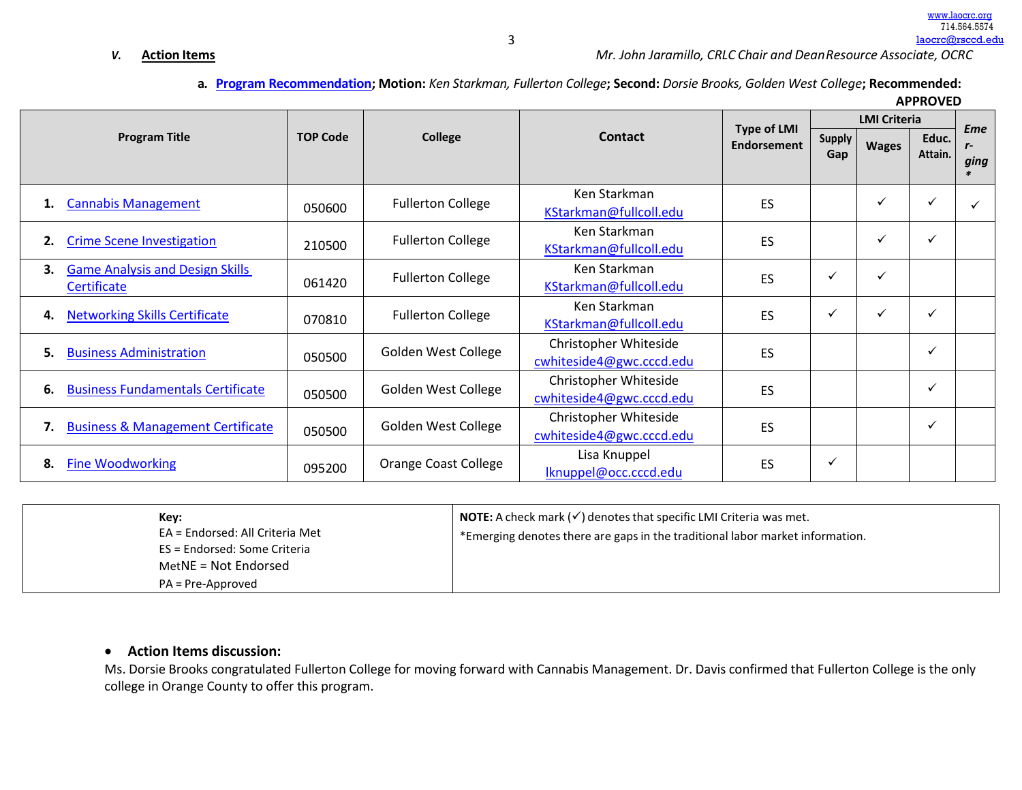## *V.* **Action Items** *Mr. John Jaramillo, CRLC Chair and DeanResource Associate, OCRC*

## **a. [Program Recommendation; M](https://www.regionalcte.org/browse?region=4&%3Bamp%3Bamp%3Bstatus=4&%3Bamp%3Bamp%3Bsearch&%3Bamp%3Bamp%3Bsubmit)otion:** *Ken Starkman, Fullerton College***; Second:** *Dorsie Brooks, Golden West College***; Recommended:**

**APPROVED**

|                                                             |        |                            |                                                   |                                          | <b>LMI Criteria</b>  |              |                  | <b>Eme</b><br>$r-$<br>ging |
|-------------------------------------------------------------|--------|----------------------------|---------------------------------------------------|------------------------------------------|----------------------|--------------|------------------|----------------------------|
| <b>TOP Code</b><br><b>Program Title</b>                     |        | <b>College</b>             | <b>Contact</b>                                    | <b>Type of LMI</b><br><b>Endorsement</b> | <b>Supply</b><br>Gap | <b>Wages</b> | Educ.<br>Attain. |                            |
| <b>Cannabis Management</b><br>1.                            | 050600 | <b>Fullerton College</b>   | Ken Starkman<br>KStarkman@fullcoll.edu            | ES                                       |                      | ✓            | ✓                | $\checkmark$               |
| <b>Crime Scene Investigation</b><br>2.                      | 210500 | <b>Fullerton College</b>   | Ken Starkman<br>KStarkman@fullcoll.edu            | ES                                       |                      | ✓            | $\checkmark$     |                            |
| <b>Game Analysis and Design Skills</b><br>3.<br>Certificate | 061420 | <b>Fullerton College</b>   | Ken Starkman<br>KStarkman@fullcoll.edu            | ES                                       | ✓                    | ✓            |                  |                            |
| <b>Networking Skills Certificate</b><br>4.                  | 070810 | <b>Fullerton College</b>   | Ken Starkman<br>KStarkman@fullcoll.edu            | ES                                       | ✓                    | ✓            | ✓                |                            |
| 5.<br><b>Business Administration</b>                        | 050500 | <b>Golden West College</b> | Christopher Whiteside<br>cwhiteside4@gwc.cccd.edu | ES                                       |                      |              | ✓                |                            |
| <b>Business Fundamentals Certificate</b><br>6.              | 050500 | Golden West College        | Christopher Whiteside<br>cwhiteside4@gwc.cccd.edu | ES                                       |                      |              | ✓                |                            |
| <b>Business &amp; Management Certificate</b><br>7.          | 050500 | Golden West College        | Christopher Whiteside<br>cwhiteside4@gwc.cccd.edu | ES                                       |                      |              | ✓                |                            |
| 8.<br><b>Fine Woodworking</b>                               | 095200 | Orange Coast College       | Lisa Knuppel<br>lknuppel@occ.cccd.edu             | ES                                       | ✓                    |              |                  |                            |

| Kev:<br>EA = Endorsed: All Criteria Met<br>ES = Endorsed: Some Criteria<br>MetNE = Not Endorsed<br>PA = Pre-Approved | <b>NOTE:</b> A check mark $(\checkmark)$ denotes that specific LMI Criteria was met.<br>*Emerging denotes there are gaps in the traditional labor market information. |
|----------------------------------------------------------------------------------------------------------------------|-----------------------------------------------------------------------------------------------------------------------------------------------------------------------|
|----------------------------------------------------------------------------------------------------------------------|-----------------------------------------------------------------------------------------------------------------------------------------------------------------------|

## **Action Items discussion:**

Ms. Dorsie Brooks congratulated Fullerton College for moving forward with Cannabis Management. Dr. Davis confirmed that Fullerton College is the only college in Orange County to offer this program.